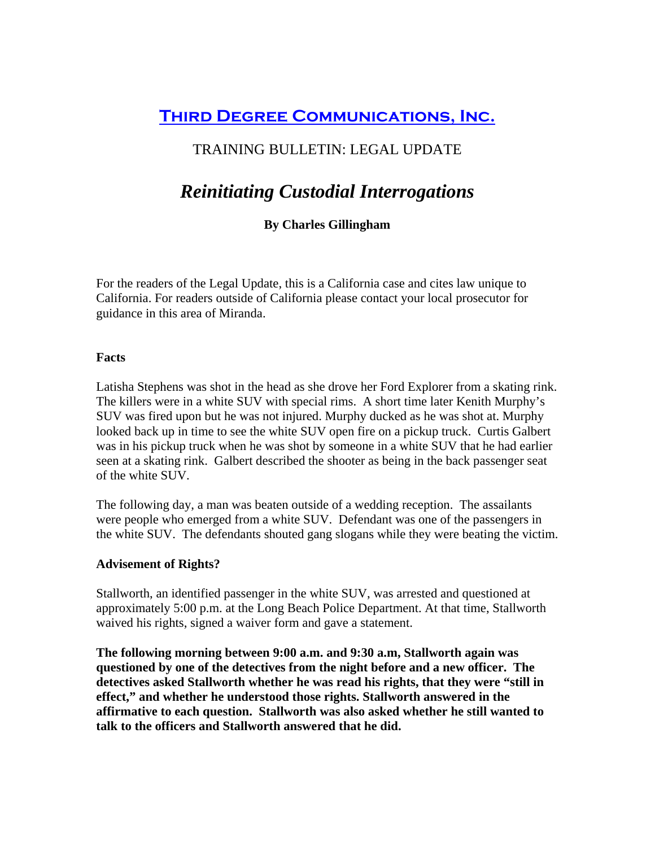# **Third Degree Communications, Inc.**

## TRAINING BULLETIN: LEGAL UPDATE

# *Reinitiating Custodial Interrogations*

### **By Charles Gillingham**

For the readers of the Legal Update, this is a California case and cites law unique to California. For readers outside of California please contact your local prosecutor for guidance in this area of Miranda.

#### **Facts**

Latisha Stephens was shot in the head as she drove her Ford Explorer from a skating rink. The killers were in a white SUV with special rims. A short time later Kenith Murphy's SUV was fired upon but he was not injured. Murphy ducked as he was shot at. Murphy looked back up in time to see the white SUV open fire on a pickup truck. Curtis Galbert was in his pickup truck when he was shot by someone in a white SUV that he had earlier seen at a skating rink. Galbert described the shooter as being in the back passenger seat of the white SUV.

The following day, a man was beaten outside of a wedding reception. The assailants were people who emerged from a white SUV. Defendant was one of the passengers in the white SUV. The defendants shouted gang slogans while they were beating the victim.

#### **Advisement of Rights?**

Stallworth, an identified passenger in the white SUV, was arrested and questioned at approximately 5:00 p.m. at the Long Beach Police Department. At that time, Stallworth waived his rights, signed a waiver form and gave a statement.

**The following morning between 9:00 a.m. and 9:30 a.m, Stallworth again was questioned by one of the detectives from the night before and a new officer. The detectives asked Stallworth whether he was read his rights, that they were "still in effect," and whether he understood those rights. Stallworth answered in the affirmative to each question. Stallworth was also asked whether he still wanted to talk to the officers and Stallworth answered that he did.**